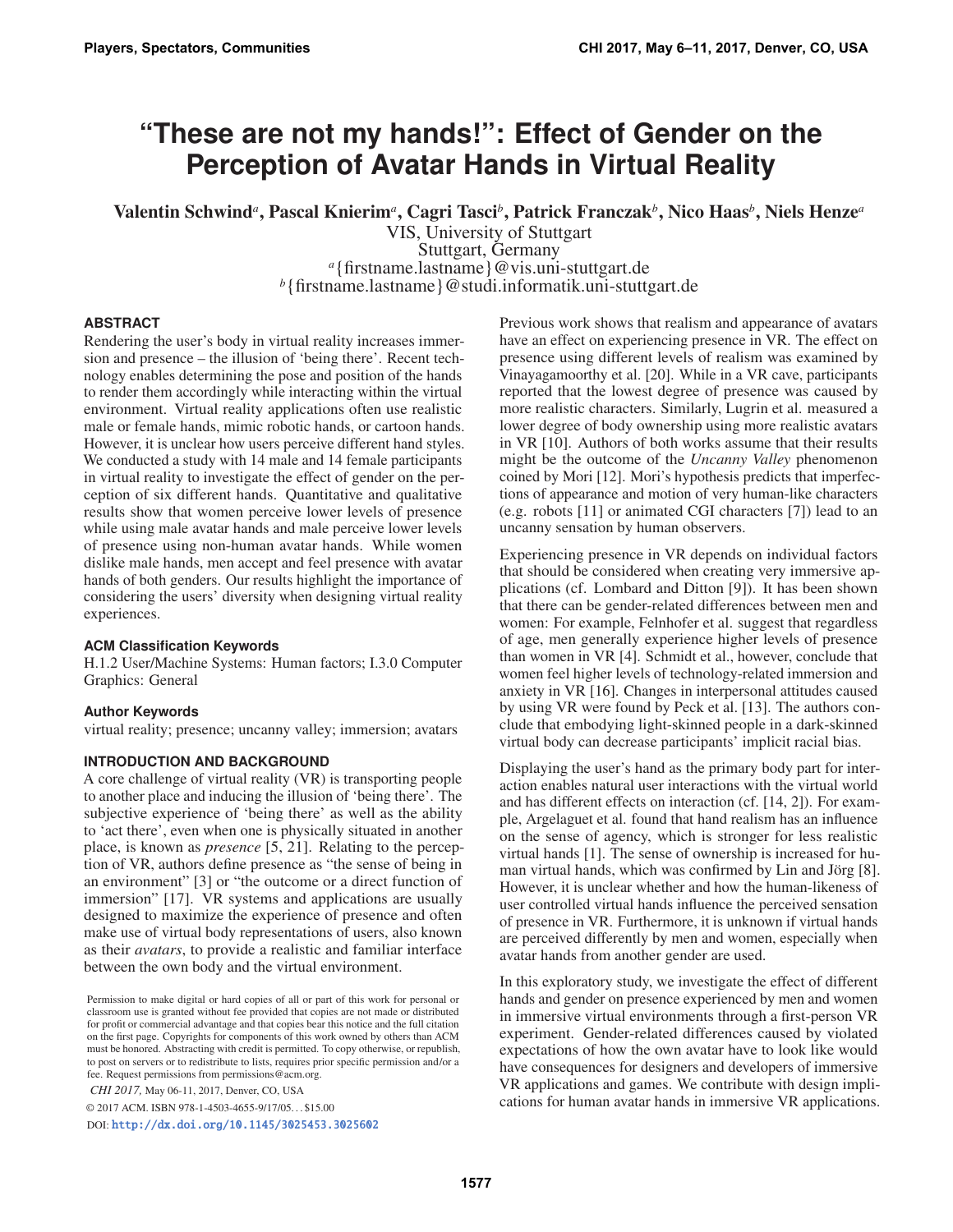# **"These are not my hands!": Effect of Gender on the Perception of Avatar Hands in Virtual Reality**

Valentin Schwind*<sup>a</sup>* , Pascal Knierim*<sup>a</sup>* , Cagri Tasci*<sup>b</sup>* , Patrick Franczak*<sup>b</sup>* , Nico Haas*<sup>b</sup>* , Niels Henze*<sup>a</sup>*

VIS, University of Stuttgart Stuttgart, Germany *<sup>a</sup>*{firstname.lastname}@vis.uni-stuttgart.de *<sup>b</sup>*{firstname.lastname}@studi.informatik.uni-stuttgart.de

#### **ABSTRACT**

Rendering the user's body in virtual reality increases immersion and presence – the illusion of 'being there'. Recent technology enables determining the pose and position of the hands to render them accordingly while interacting within the virtual environment. Virtual reality applications often use realistic male or female hands, mimic robotic hands, or cartoon hands. However, it is unclear how users perceive different hand styles. We conducted a study with 14 male and 14 female participants in virtual reality to investigate the effect of gender on the perception of six different hands. Quantitative and qualitative results show that women perceive lower levels of presence while using male avatar hands and male perceive lower levels of presence using non-human avatar hands. While women dislike male hands, men accept and feel presence with avatar hands of both genders. Our results highlight the importance of considering the users' diversity when designing virtual reality experiences.

#### **ACM Classification Keywords**

H.1.2 User/Machine Systems: Human factors; I.3.0 Computer Graphics: General

#### **Author Keywords**

virtual reality; presence; uncanny valley; immersion; avatars

#### **INTRODUCTION AND BACKGROUND**

A core challenge of virtual reality (VR) is transporting people to another place and inducing the illusion of 'being there'. The subjective experience of 'being there' as well as the ability to 'act there', even when one is physically situated in another place, is known as *presence* [5, 21]. Relating to the perception of VR, authors define presence as "the sense of being in an environment" [3] or "the outcome or a direct function of immersion" [17]. VR systems and applications are usually designed to maximize the experience of presence and often make use of virtual body representations of users, also known as their *avatars*, to provide a realistic and familiar interface between the own body and the virtual environment.

*CHI 2017,* May 06-11, 2017, Denver, CO, USA

© 2017 ACM. ISBN 978-1-4503-4655-9/17/05. . . \$15.00

DOI: http://dx.doi.org/10.1145/3025453.3025602

Previous work shows that realism and appearance of avatars have an effect on experiencing presence in VR. The effect on presence using different levels of realism was examined by Vinayagamoorthy et al. [20]. While in a VR cave, participants reported that the lowest degree of presence was caused by more realistic characters. Similarly, Lugrin et al. measured a lower degree of body ownership using more realistic avatars in VR [10]. Authors of both works assume that their results might be the outcome of the *Uncanny Valley* phenomenon coined by Mori [12]. Mori's hypothesis predicts that imperfections of appearance and motion of very human-like characters (e.g. robots [11] or animated CGI characters [7]) lead to an uncanny sensation by human observers.

Experiencing presence in VR depends on individual factors that should be considered when creating very immersive applications (cf. Lombard and Ditton [9]). It has been shown that there can be gender-related differences between men and women: For example, Felnhofer et al. suggest that regardless of age, men generally experience higher levels of presence than women in VR [4]. Schmidt et al., however, conclude that women feel higher levels of technology-related immersion and anxiety in VR [16]. Changes in interpersonal attitudes caused by using VR were found by Peck et al. [13]. The authors conclude that embodying light-skinned people in a dark-skinned virtual body can decrease participants' implicit racial bias.

Displaying the user's hand as the primary body part for interaction enables natural user interactions with the virtual world and has different effects on interaction (cf. [14, 2]). For example, Argelaguet et al. found that hand realism has an influence on the sense of agency, which is stronger for less realistic virtual hands [1]. The sense of ownership is increased for human virtual hands, which was confirmed by Lin and Jörg [8]. However, it is unclear whether and how the human-likeness of user controlled virtual hands influence the perceived sensation of presence in VR. Furthermore, it is unknown if virtual hands are perceived differently by men and women, especially when avatar hands from another gender are used.

In this exploratory study, we investigate the effect of different hands and gender on presence experienced by men and women in immersive virtual environments through a first-person VR experiment. Gender-related differences caused by violated expectations of how the own avatar have to look like would have consequences for designers and developers of immersive VR applications and games. We contribute with design implications for human avatar hands in immersive VR applications.

Permission to make digital or hard copies of all or part of this work for personal or classroom use is granted without fee provided that copies are not made or distributed for profit or commercial advantage and that copies bear this notice and the full citation on the first page. Copyrights for components of this work owned by others than ACM must be honored. Abstracting with credit is permitted. To copy otherwise, or republish, to post on servers or to redistribute to lists, requires prior specific permission and/or a fee. Request permissions from permissions@acm.org.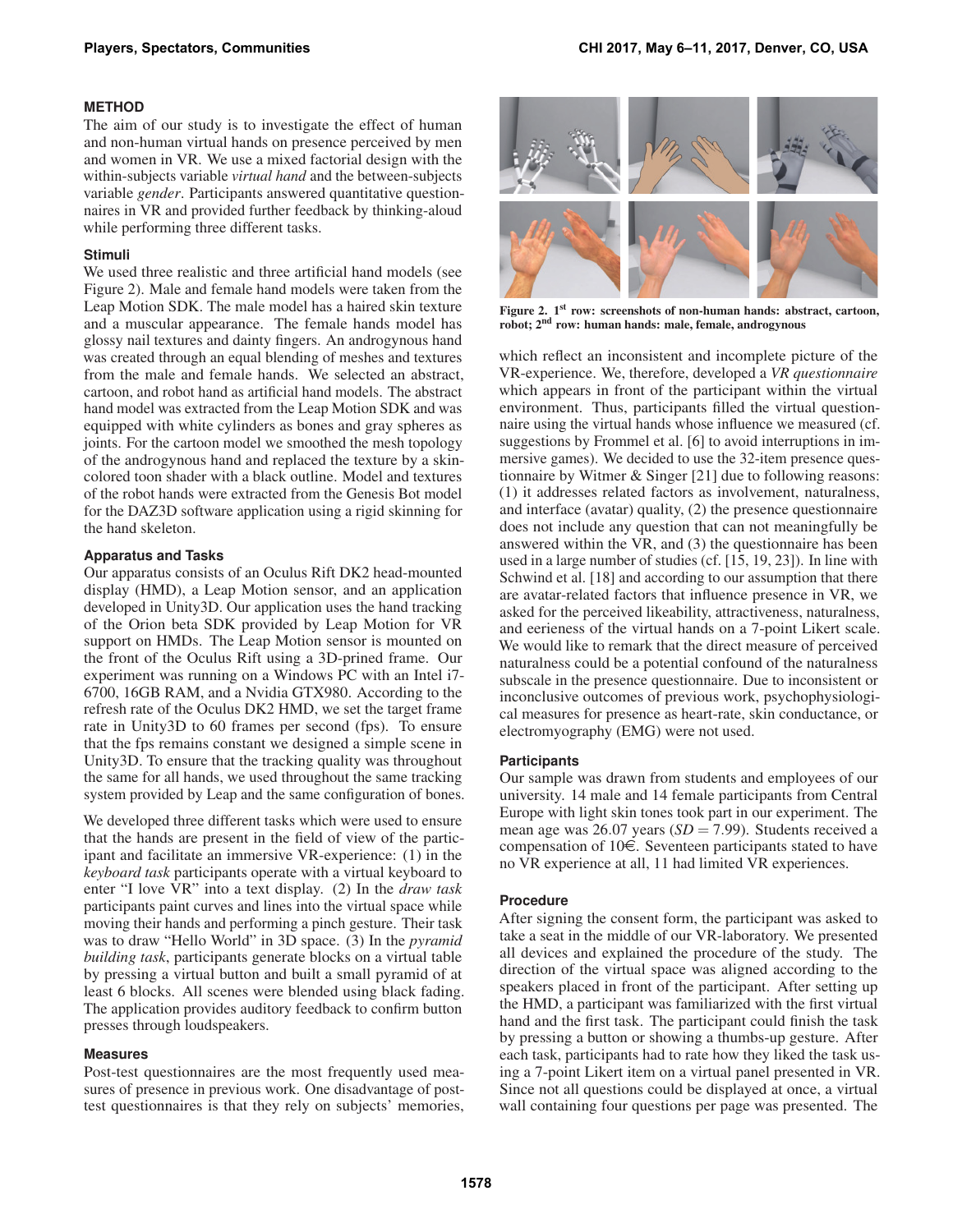## **METHOD**

The aim of our study is to investigate the effect of human and non-human virtual hands on presence perceived by men and women in VR. We use a mixed factorial design with the within-subjects variable *virtual hand* and the between-subjects variable *gender*. Participants answered quantitative questionnaires in VR and provided further feedback by thinking-aloud while performing three different tasks.

## **Stimuli**

We used three realistic and three artificial hand models (see Figure 2). Male and female hand models were taken from the Leap Motion SDK. The male model has a haired skin texture and a muscular appearance. The female hands model has glossy nail textures and dainty fingers. An androgynous hand was created through an equal blending of meshes and textures from the male and female hands. We selected an abstract, cartoon, and robot hand as artificial hand models. The abstract hand model was extracted from the Leap Motion SDK and was equipped with white cylinders as bones and gray spheres as joints. For the cartoon model we smoothed the mesh topology of the androgynous hand and replaced the texture by a skincolored toon shader with a black outline. Model and textures of the robot hands were extracted from the Genesis Bot model for the DAZ3D software application using a rigid skinning for the hand skeleton.

## **Apparatus and Tasks**

Our apparatus consists of an Oculus Rift DK2 head-mounted display (HMD), a Leap Motion sensor, and an application developed in Unity3D. Our application uses the hand tracking of the Orion beta SDK provided by Leap Motion for VR support on HMDs. The Leap Motion sensor is mounted on the front of the Oculus Rift using a 3D-prined frame. Our experiment was running on a Windows PC with an Intel i7- 6700, 16GB RAM, and a Nvidia GTX980. According to the refresh rate of the Oculus DK2 HMD, we set the target frame rate in Unity3D to 60 frames per second (fps). To ensure that the fps remains constant we designed a simple scene in Unity3D. To ensure that the tracking quality was throughout the same for all hands, we used throughout the same tracking system provided by Leap and the same configuration of bones.

We developed three different tasks which were used to ensure that the hands are present in the field of view of the participant and facilitate an immersive VR-experience: (1) in the *keyboard task* participants operate with a virtual keyboard to enter "I love VR" into a text display. (2) In the *draw task* participants paint curves and lines into the virtual space while moving their hands and performing a pinch gesture. Their task was to draw "Hello World" in 3D space. (3) In the *pyramid building task*, participants generate blocks on a virtual table by pressing a virtual button and built a small pyramid of at least 6 blocks. All scenes were blended using black fading. The application provides auditory feedback to confirm button presses through loudspeakers.

#### **Measures**

Post-test questionnaires are the most frequently used measures of presence in previous work. One disadvantage of posttest questionnaires is that they rely on subjects' memories,



Figure 2. 1<sup>st</sup> row: screenshots of non-human hands: abstract, cartoon, robot; 2nd row: human hands: male, female, androgynous

which reflect an inconsistent and incomplete picture of the VR-experience. We, therefore, developed a *VR questionnaire* which appears in front of the participant within the virtual environment. Thus, participants filled the virtual questionnaire using the virtual hands whose influence we measured (cf. suggestions by Frommel et al. [6] to avoid interruptions in immersive games). We decided to use the 32-item presence questionnaire by Witmer & Singer [21] due to following reasons: (1) it addresses related factors as involvement, naturalness, and interface (avatar) quality, (2) the presence questionnaire does not include any question that can not meaningfully be answered within the VR, and (3) the questionnaire has been used in a large number of studies (cf. [15, 19, 23]). In line with Schwind et al. [18] and according to our assumption that there are avatar-related factors that influence presence in VR, we asked for the perceived likeability, attractiveness, naturalness, and eerieness of the virtual hands on a 7-point Likert scale. We would like to remark that the direct measure of perceived naturalness could be a potential confound of the naturalness subscale in the presence questionnaire. Due to inconsistent or inconclusive outcomes of previous work, psychophysiological measures for presence as heart-rate, skin conductance, or electromyography (EMG) were not used.

#### **Participants**

Our sample was drawn from students and employees of our university. 14 male and 14 female participants from Central Europe with light skin tones took part in our experiment. The mean age was 26.07 years (*SD* = 7.99). Students received a compensation of 10 $\in$ . Seventeen participants stated to have no VR experience at all, 11 had limited VR experiences.

## **Procedure**

After signing the consent form, the participant was asked to take a seat in the middle of our VR-laboratory. We presented all devices and explained the procedure of the study. The direction of the virtual space was aligned according to the speakers placed in front of the participant. After setting up the HMD, a participant was familiarized with the first virtual hand and the first task. The participant could finish the task by pressing a button or showing a thumbs-up gesture. After each task, participants had to rate how they liked the task using a 7-point Likert item on a virtual panel presented in VR. Since not all questions could be displayed at once, a virtual wall containing four questions per page was presented. The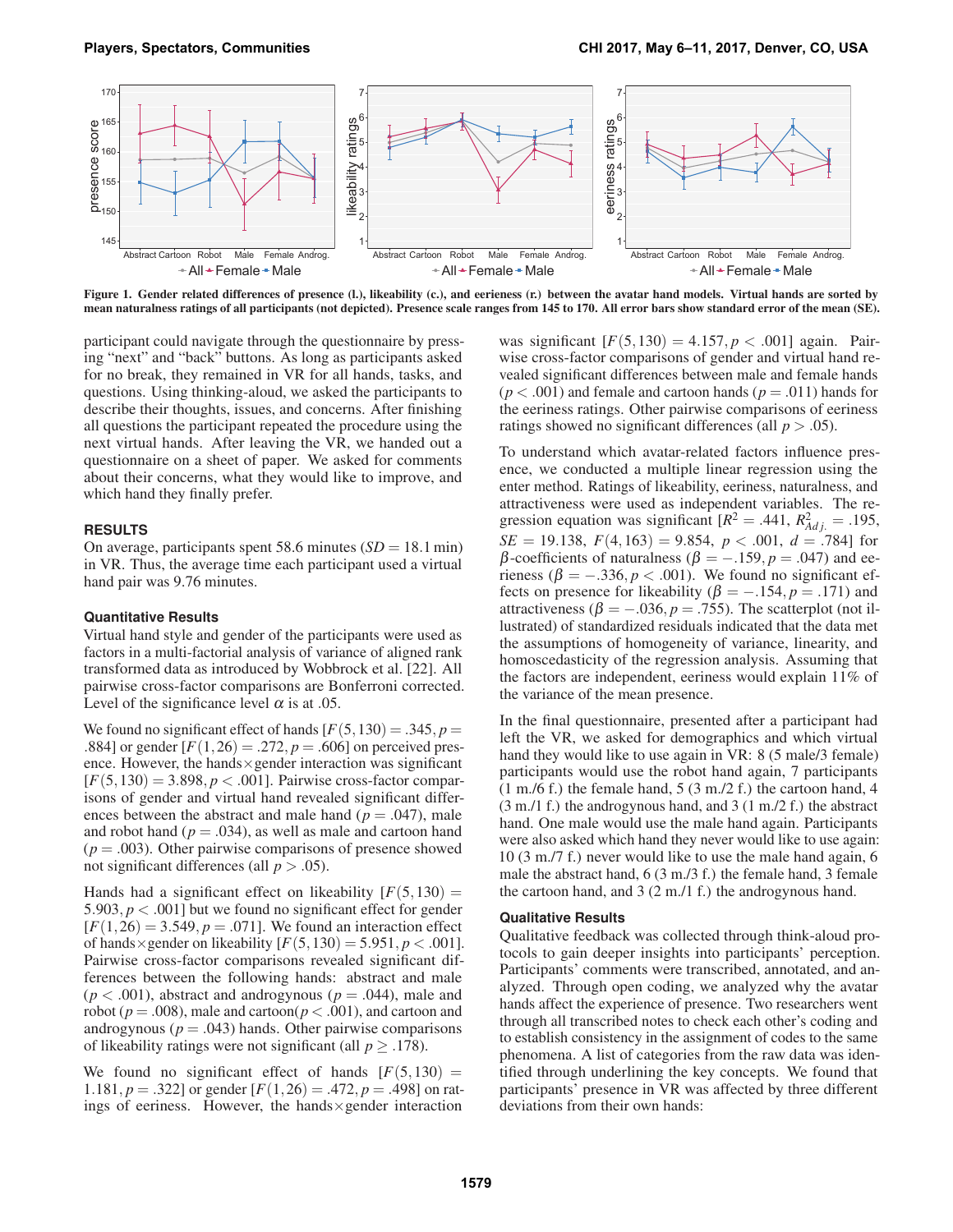

Figure 1. Gender related differences of presence (l.), likeability (c.), and eerieness (r.) between the avatar hand models. Virtual hands are sorted by mean naturalness ratings of all participants (not depicted). Presence scale ranges from 145 to 170. All error bars show standard error of the mean (SE).

participant could navigate through the questionnaire by pressing "next" and "back" buttons. As long as participants asked for no break, they remained in VR for all hands, tasks, and questions. Using thinking-aloud, we asked the participants to describe their thoughts, issues, and concerns. After finishing all questions the participant repeated the procedure using the next virtual hands. After leaving the VR, we handed out a questionnaire on a sheet of paper. We asked for comments about their concerns, what they would like to improve, and which hand they finally prefer.

#### **RESULTS**

On average, participants spent 58.6 minutes  $(SD = 18.1 \text{ min})$ in VR. Thus, the average time each participant used a virtual hand pair was 9.76 minutes.

### **Quantitative Results**

Virtual hand style and gender of the participants were used as factors in a multi-factorial analysis of variance of aligned rank transformed data as introduced by Wobbrock et al. [22]. All pairwise cross-factor comparisons are Bonferroni corrected. Level of the significance level  $\alpha$  is at .05.

We found no significant effect of hands  $[F(5,130) = .345, p =$ .884] or gender  $[F(1,26) = .272, p = .606]$  on perceived presence. However, the hands $\times$ gender interaction was significant  $[F(5,130) = 3.898, p < .001]$ . Pairwise cross-factor comparisons of gender and virtual hand revealed significant differences between the abstract and male hand  $(p = .047)$ , male and robot hand ( $p = .034$ ), as well as male and cartoon hand  $(p = .003)$ . Other pairwise comparisons of presence showed not significant differences (all  $p > .05$ ).

Hands had a significant effect on likeability  $[F(5,130) =$ 5.903,  $p < .001$ ] but we found no significant effect for gender  $[F(1,26) = 3.549, p = .071]$ . We found an interaction effect of hands  $\times$  gender on likeability  $[F(5,130) = 5.951, p < .001]$ . Pairwise cross-factor comparisons revealed significant differences between the following hands: abstract and male  $(p < .001)$ , abstract and androgynous  $(p = .044)$ , male and robot ( $p = .008$ ), male and cartoon( $p < .001$ ), and cartoon and androgynous ( $p = .043$ ) hands. Other pairwise comparisons of likeability ratings were not significant (all  $p \geq .178$ ).

We found no significant effect of hands  $[F(5,130) =$ 1.181,  $p = .322$  or gender  $[F(1,26) = .472, p = .498]$  on ratings of eeriness. However, the hands $\times$ gender interaction

was significant  $[F(5, 130) = 4.157, p < .001]$  again. Pairwise cross-factor comparisons of gender and virtual hand revealed significant differences between male and female hands  $(p < .001)$  and female and cartoon hands  $(p = .011)$  hands for the eeriness ratings. Other pairwise comparisons of eeriness ratings showed no significant differences (all  $p > .05$ ).

To understand which avatar-related factors influence presence, we conducted a multiple linear regression using the enter method. Ratings of likeability, eeriness, naturalness, and attractiveness were used as independent variables. The regression equation was significant  $[R^2 = .441, R_{Adj.}^2 = .195,$ *SE* = 19.138,  $F(4,163) = 9.854$ ,  $p < .001$ ,  $d = .784$  for β-coefficients of naturalness ( $\beta = -.159, p = .047$ ) and eerieness ( $\beta = -.336, p < .001$ ). We found no significant effects on presence for likeability ( $\beta = -.154, p = .171$ ) and attractiveness ( $\beta = -.036, p = .755$ ). The scatterplot (not illustrated) of standardized residuals indicated that the data met the assumptions of homogeneity of variance, linearity, and homoscedasticity of the regression analysis. Assuming that the factors are independent, eeriness would explain 11% of the variance of the mean presence.

In the final questionnaire, presented after a participant had left the VR, we asked for demographics and which virtual hand they would like to use again in VR: 8 (5 male/3 female) participants would use the robot hand again, 7 participants  $(1 \text{ m.}/6 \text{ f.})$  the female hand, 5  $(3 \text{ m.}/2 \text{ f.})$  the cartoon hand, 4 (3 m./1 f.) the androgynous hand, and 3 (1 m./2 f.) the abstract hand. One male would use the male hand again. Participants were also asked which hand they never would like to use again: 10 (3 m./7 f.) never would like to use the male hand again, 6 male the abstract hand, 6 (3 m./3 f.) the female hand, 3 female the cartoon hand, and 3 (2 m./1 f.) the androgynous hand.

#### **Qualitative Results**

Qualitative feedback was collected through think-aloud protocols to gain deeper insights into participants' perception. Participants' comments were transcribed, annotated, and analyzed. Through open coding, we analyzed why the avatar hands affect the experience of presence. Two researchers went through all transcribed notes to check each other's coding and to establish consistency in the assignment of codes to the same phenomena. A list of categories from the raw data was identified through underlining the key concepts. We found that participants' presence in VR was affected by three different deviations from their own hands: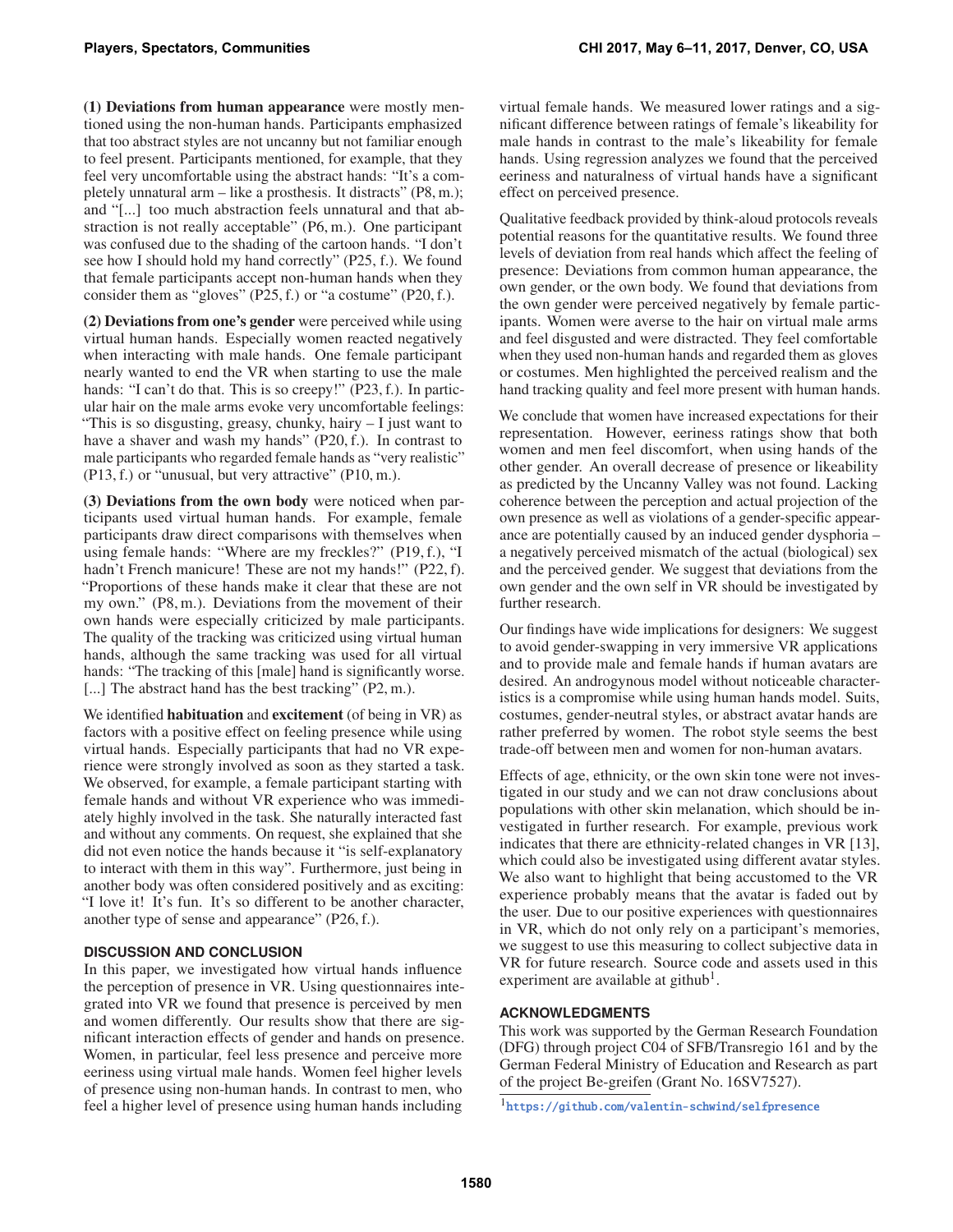(1) Deviations from human appearance were mostly mentioned using the non-human hands. Participants emphasized that too abstract styles are not uncanny but not familiar enough to feel present. Participants mentioned, for example, that they feel very uncomfortable using the abstract hands: "It's a completely unnatural arm – like a prosthesis. It distracts" (P8, m.); and "[...] too much abstraction feels unnatural and that abstraction is not really acceptable" (P6, m.). One participant was confused due to the shading of the cartoon hands. "I don't see how I should hold my hand correctly" (P25, f.). We found that female participants accept non-human hands when they consider them as "gloves"  $(P25, f.)$  or "a costume"  $(P20, f.)$ .

(2) Deviations from one's gender were perceived while using virtual human hands. Especially women reacted negatively when interacting with male hands. One female participant nearly wanted to end the VR when starting to use the male hands: "I can't do that. This is so creepy!" (P23, f.). In particular hair on the male arms evoke very uncomfortable feelings: "This is so disgusting, greasy, chunky, hairy  $-I$  just want to have a shaver and wash my hands" (P20, f.). In contrast to male participants who regarded female hands as "very realistic"  $(P13, f.)$  or "unusual, but very attractive"  $(P10, m.).$ 

(3) Deviations from the own body were noticed when participants used virtual human hands. For example, female participants draw direct comparisons with themselves when using female hands: "Where are my freckles?" (P19, f.), "I hadn't French manicure! These are not my hands!" (P22, f). "Proportions of these hands make it clear that these are not my own." (P8, m.). Deviations from the movement of their own hands were especially criticized by male participants. The quality of the tracking was criticized using virtual human hands, although the same tracking was used for all virtual hands: "The tracking of this [male] hand is significantly worse. [...] The abstract hand has the best tracking" (P2, m.).

We identified **habituation** and **excitement** (of being in VR) as factors with a positive effect on feeling presence while using virtual hands. Especially participants that had no VR experience were strongly involved as soon as they started a task. We observed, for example, a female participant starting with female hands and without VR experience who was immediately highly involved in the task. She naturally interacted fast and without any comments. On request, she explained that she did not even notice the hands because it "is self-explanatory to interact with them in this way". Furthermore, just being in another body was often considered positively and as exciting: "I love it! It's fun. It's so different to be another character, another type of sense and appearance" (P26, f.).

## **DISCUSSION AND CONCLUSION**

In this paper, we investigated how virtual hands influence the perception of presence in VR. Using questionnaires integrated into VR we found that presence is perceived by men and women differently. Our results show that there are significant interaction effects of gender and hands on presence. Women, in particular, feel less presence and perceive more eeriness using virtual male hands. Women feel higher levels of presence using non-human hands. In contrast to men, who feel a higher level of presence using human hands including

virtual female hands. We measured lower ratings and a significant difference between ratings of female's likeability for male hands in contrast to the male's likeability for female hands. Using regression analyzes we found that the perceived eeriness and naturalness of virtual hands have a significant effect on perceived presence.

Qualitative feedback provided by think-aloud protocols reveals potential reasons for the quantitative results. We found three levels of deviation from real hands which affect the feeling of presence: Deviations from common human appearance, the own gender, or the own body. We found that deviations from the own gender were perceived negatively by female participants. Women were averse to the hair on virtual male arms and feel disgusted and were distracted. They feel comfortable when they used non-human hands and regarded them as gloves or costumes. Men highlighted the perceived realism and the hand tracking quality and feel more present with human hands.

We conclude that women have increased expectations for their representation. However, eeriness ratings show that both women and men feel discomfort, when using hands of the other gender. An overall decrease of presence or likeability as predicted by the Uncanny Valley was not found. Lacking coherence between the perception and actual projection of the own presence as well as violations of a gender-specific appearance are potentially caused by an induced gender dysphoria – a negatively perceived mismatch of the actual (biological) sex and the perceived gender. We suggest that deviations from the own gender and the own self in VR should be investigated by further research.

Our findings have wide implications for designers: We suggest to avoid gender-swapping in very immersive VR applications and to provide male and female hands if human avatars are desired. An androgynous model without noticeable characteristics is a compromise while using human hands model. Suits, costumes, gender-neutral styles, or abstract avatar hands are rather preferred by women. The robot style seems the best trade-off between men and women for non-human avatars.

Effects of age, ethnicity, or the own skin tone were not investigated in our study and we can not draw conclusions about populations with other skin melanation, which should be investigated in further research. For example, previous work indicates that there are ethnicity-related changes in VR [13], which could also be investigated using different avatar styles. We also want to highlight that being accustomed to the VR experience probably means that the avatar is faded out by the user. Due to our positive experiences with questionnaires in VR, which do not only rely on a participant's memories, we suggest to use this measuring to collect subjective data in VR for future research. Source code and assets used in this experiment are available at github<sup>1</sup>.

## **ACKNOWLEDGMENTS**

This work was supported by the German Research Foundation (DFG) through project C04 of SFB/Transregio 161 and by the German Federal Ministry of Education and Research as part of the project Be-greifen (Grant No. 16SV7527).

1 https://github.com/valentin-schwind/selfpresence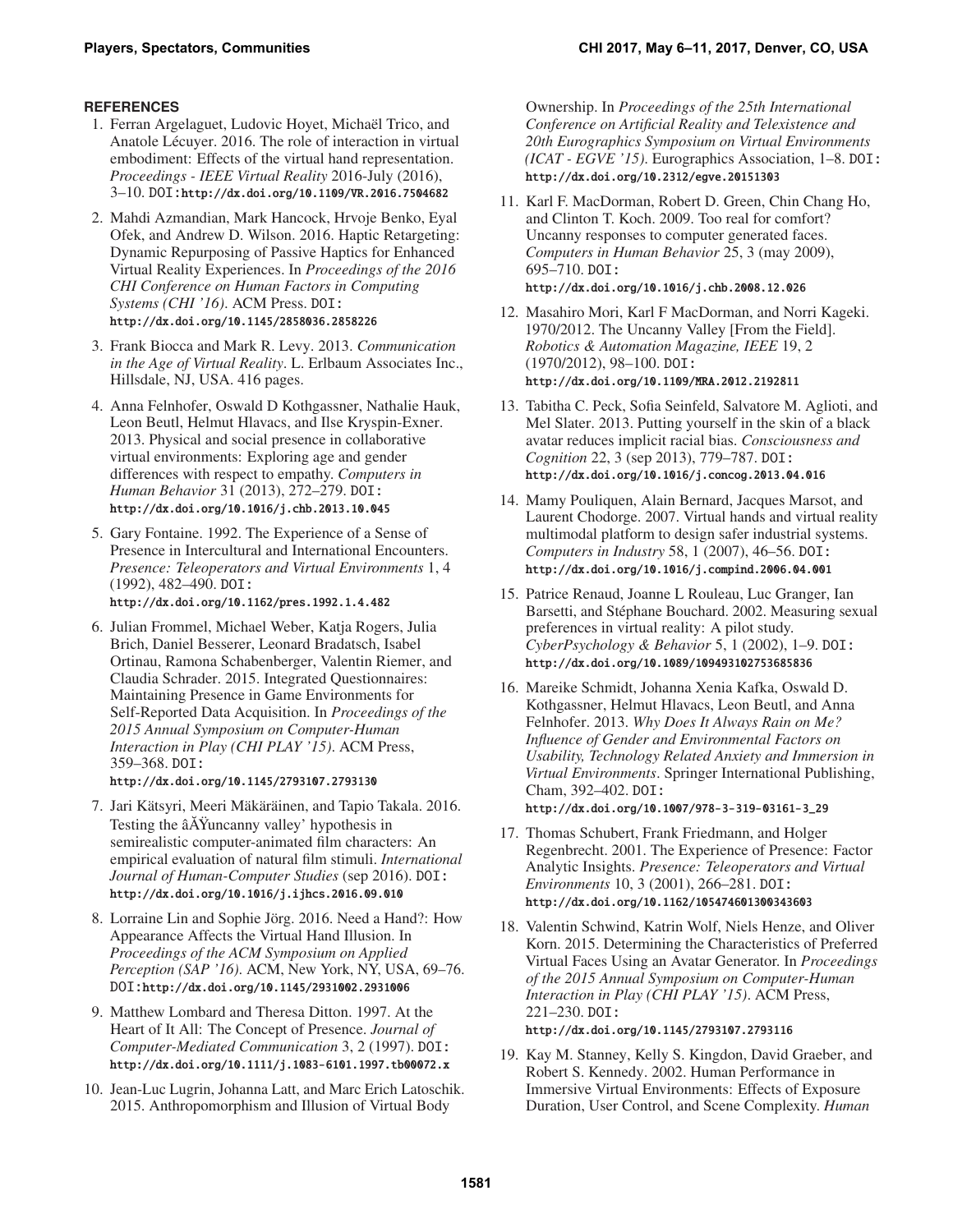## **REFERENCES**

- 1. Ferran Argelaguet, Ludovic Hoyet, Michaël Trico, and Anatole Lécuyer. 2016. The role of interaction in virtual embodiment: Effects of the virtual hand representation. *Proceedings - IEEE Virtual Reality* 2016-July (2016), 3–10. DOI:http://dx.doi.org/10.1109/VR.2016.7504682
- 2. Mahdi Azmandian, Mark Hancock, Hrvoje Benko, Eyal Ofek, and Andrew D. Wilson. 2016. Haptic Retargeting: Dynamic Repurposing of Passive Haptics for Enhanced Virtual Reality Experiences. In *Proceedings of the 2016 CHI Conference on Human Factors in Computing Systems (CHI '16)*. ACM Press. DOI: http://dx.doi.org/10.1145/2858036.2858226
- 3. Frank Biocca and Mark R. Levy. 2013. *Communication in the Age of Virtual Reality*. L. Erlbaum Associates Inc., Hillsdale, NJ, USA. 416 pages.
- 4. Anna Felnhofer, Oswald D Kothgassner, Nathalie Hauk, Leon Beutl, Helmut Hlavacs, and Ilse Kryspin-Exner. 2013. Physical and social presence in collaborative virtual environments: Exploring age and gender differences with respect to empathy. *Computers in Human Behavior* 31 (2013), 272–279. DOI: http://dx.doi.org/10.1016/j.chb.2013.10.045
- 5. Gary Fontaine. 1992. The Experience of a Sense of Presence in Intercultural and International Encounters. *Presence: Teleoperators and Virtual Environments* 1, 4 (1992), 482–490. DOI:

http://dx.doi.org/10.1162/pres.1992.1.4.482

6. Julian Frommel, Michael Weber, Katja Rogers, Julia Brich, Daniel Besserer, Leonard Bradatsch, Isabel Ortinau, Ramona Schabenberger, Valentin Riemer, and Claudia Schrader. 2015. Integrated Questionnaires: Maintaining Presence in Game Environments for Self-Reported Data Acquisition. In *Proceedings of the 2015 Annual Symposium on Computer-Human Interaction in Play (CHI PLAY '15)*. ACM Press, 359–368. DOI:

http://dx.doi.org/10.1145/2793107.2793130

- 7. Jari Kätsyri, Meeri Mäkäräinen, and Tapio Takala. 2016. Testing the  $\hat{a}$ AYuncanny valley' hypothesis in semirealistic computer-animated film characters: An empirical evaluation of natural film stimuli. *International Journal of Human-Computer Studies* (sep 2016). DOI: http://dx.doi.org/10.1016/j.ijhcs.2016.09.010
- 8. Lorraine Lin and Sophie Jörg. 2016. Need a Hand?: How Appearance Affects the Virtual Hand Illusion. In *Proceedings of the ACM Symposium on Applied Perception (SAP '16)*. ACM, New York, NY, USA, 69–76. DOI:http://dx.doi.org/10.1145/2931002.2931006
- 9. Matthew Lombard and Theresa Ditton. 1997. At the Heart of It All: The Concept of Presence. *Journal of Computer-Mediated Communication* 3, 2 (1997). DOI: http://dx.doi.org/10.1111/j.1083-6101.1997.tb00072.x
- 10. Jean-Luc Lugrin, Johanna Latt, and Marc Erich Latoschik. 2015. Anthropomorphism and Illusion of Virtual Body

Ownership. In *Proceedings of the 25th International Conference on Artificial Reality and Telexistence and 20th Eurographics Symposium on Virtual Environments (ICAT - EGVE '15)*. Eurographics Association, 1–8. DOI: http://dx.doi.org/10.2312/egve.20151303

- 11. Karl F. MacDorman, Robert D. Green, Chin Chang Ho, and Clinton T. Koch. 2009. Too real for comfort? Uncanny responses to computer generated faces. *Computers in Human Behavior* 25, 3 (may 2009), 695–710. DOI: http://dx.doi.org/10.1016/j.chb.2008.12.026
- 12. Masahiro Mori, Karl F MacDorman, and Norri Kageki. 1970/2012. The Uncanny Valley [From the Field]. *Robotics & Automation Magazine, IEEE* 19, 2 (1970/2012), 98–100. DOI: http://dx.doi.org/10.1109/MRA.2012.2192811
- 13. Tabitha C. Peck, Sofia Seinfeld, Salvatore M. Aglioti, and Mel Slater. 2013. Putting yourself in the skin of a black avatar reduces implicit racial bias. *Consciousness and Cognition* 22, 3 (sep 2013), 779–787. DOI: http://dx.doi.org/10.1016/j.concog.2013.04.016
- 14. Mamy Pouliquen, Alain Bernard, Jacques Marsot, and Laurent Chodorge. 2007. Virtual hands and virtual reality multimodal platform to design safer industrial systems. *Computers in Industry* 58, 1 (2007), 46–56. DOI: http://dx.doi.org/10.1016/j.compind.2006.04.001
- 15. Patrice Renaud, Joanne L Rouleau, Luc Granger, Ian Barsetti, and Stéphane Bouchard. 2002. Measuring sexual preferences in virtual reality: A pilot study. *CyberPsychology & Behavior* 5, 1 (2002), 1–9. DOI: http://dx.doi.org/10.1089/109493102753685836
- 16. Mareike Schmidt, Johanna Xenia Kafka, Oswald D. Kothgassner, Helmut Hlavacs, Leon Beutl, and Anna Felnhofer. 2013. *Why Does It Always Rain on Me? Influence of Gender and Environmental Factors on Usability, Technology Related Anxiety and Immersion in Virtual Environments*. Springer International Publishing, Cham, 392–402. DOI: http://dx.doi.org/10.1007/978-3-319-03161-3\_29
- 17. Thomas Schubert, Frank Friedmann, and Holger Regenbrecht. 2001. The Experience of Presence: Factor Analytic Insights. *Presence: Teleoperators and Virtual Environments* 10, 3 (2001), 266–281. DOI: http://dx.doi.org/10.1162/105474601300343603
- 18. Valentin Schwind, Katrin Wolf, Niels Henze, and Oliver Korn. 2015. Determining the Characteristics of Preferred Virtual Faces Using an Avatar Generator. In *Proceedings of the 2015 Annual Symposium on Computer-Human Interaction in Play (CHI PLAY '15)*. ACM Press, 221–230. DOI: http://dx.doi.org/10.1145/2793107.2793116
- 19. Kay M. Stanney, Kelly S. Kingdon, David Graeber, and Robert S. Kennedy. 2002. Human Performance in Immersive Virtual Environments: Effects of Exposure Duration, User Control, and Scene Complexity. *Human*